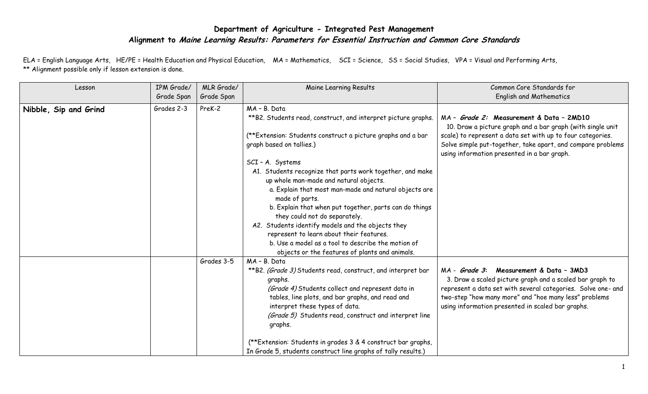## **Department of Agriculture - Integrated Pest Management Alignment to Maine Learning Results: Parameters for Essential Instruction and Common Core Standards**

ELA = English Language Arts, HE/PE = Health Education and Physical Education, MA = Mathematics, SCI = Science, SS = Social Studies, VPA = Visual and Performing Arts, \*\* Alignment possible only if lesson extension is done.

| Lesson                | IPM Grade/<br>Grade Span | MLR Grade/<br>Grade Span | Maine Learning Results                                                                                                                                                                                                                                                                                                                                                                                                                                                                                                                                                                                                                                                             | Common Core Standards for<br><b>English and Mathematics</b>                                                                                                                                                                                                                                  |
|-----------------------|--------------------------|--------------------------|------------------------------------------------------------------------------------------------------------------------------------------------------------------------------------------------------------------------------------------------------------------------------------------------------------------------------------------------------------------------------------------------------------------------------------------------------------------------------------------------------------------------------------------------------------------------------------------------------------------------------------------------------------------------------------|----------------------------------------------------------------------------------------------------------------------------------------------------------------------------------------------------------------------------------------------------------------------------------------------|
| Nibble, Sip and Grind | Grades 2-3               | PreK-2                   | MA - B. Data<br>**B2. Students read, construct, and interpret picture graphs.<br>(**Extension: Students construct a picture graphs and a bar<br>graph based on tallies.)<br>SCI - A. Systems<br>A1. Students recognize that parts work together, and make<br>up whole man-made and natural objects.<br>a. Explain that most man-made and natural objects are<br>made of parts.<br>b. Explain that when put together, parts can do things<br>they could not do separately.<br>A2. Students identify models and the objects they<br>represent to learn about their features.<br>b. Use a model as a tool to describe the motion of<br>objects or the features of plants and animals. | MA - Grade 2: Measurement & Data - 2MD10<br>10. Draw a picture graph and a bar graph (with single unit<br>scale) to represent a data set with up to four categories.<br>Solve simple put-together, take apart, and compare problems<br>using information presented in a bar graph.           |
|                       |                          | Grades 3-5               | MA - B. Data<br>**B2. (Grade 3) Students read, construct, and interpret bar<br>graphs.<br>(Grade 4) Students collect and represent data in<br>tables, line plots, and bar graphs, and read and<br>interpret these types of data.<br>(Grade 5) Students read, construct and interpret line<br>graphs.<br>(**Extension: Students in grades 3 & 4 construct bar graphs,<br>In Grade 5, students construct line graphs of tally results.)                                                                                                                                                                                                                                              | Measurement & Data - 3MD3<br>MA - <i>Grade 3</i> :<br>3. Draw a scaled picture graph and a scaled bar graph to<br>represent a data set with several categories. Solve one- and<br>two-step "how many more" and "hoe many less" problems<br>using information presented in scaled bar graphs. |